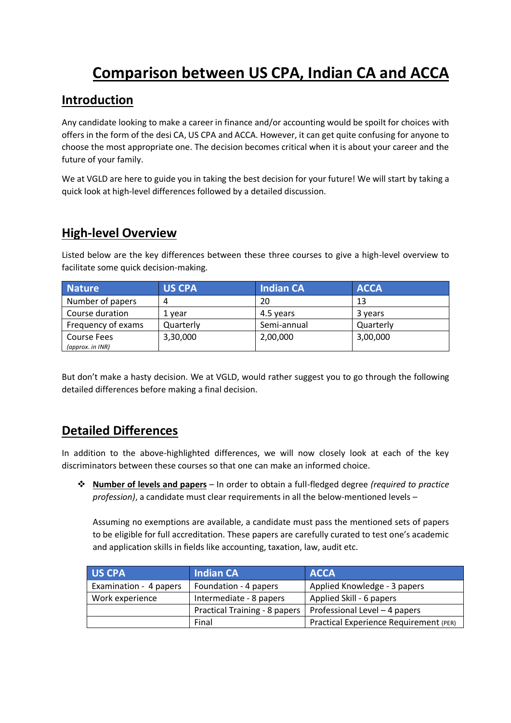## **Comparison between US CPA, Indian CA and ACCA**

## **Introduction**

Any candidate looking to make a career in finance and/or accounting would be spoilt for choices with offers in the form of the desi CA, US CPA and ACCA. However, it can get quite confusing for anyone to choose the most appropriate one. The decision becomes critical when it is about your career and the future of your family.

We at VGLD are here to guide you in taking the best decision for your future! We will start by taking a quick look at high-level differences followed by a detailed discussion.

## **High-level Overview**

Listed below are the key differences between these three courses to give a high-level overview to facilitate some quick decision-making.

| <b>Nature</b>      | <b>US CPA</b> | <b>Indian CA</b> | <b>ACCA</b> |
|--------------------|---------------|------------------|-------------|
| Number of papers   |               | 20               | 13          |
| Course duration    | 1 vear        | 4.5 years        | 3 years     |
| Frequency of exams | Quarterly     | Semi-annual      | Quarterly   |
| Course Fees        | 3,30,000      | 2,00,000         | 3,00,000    |
| (approx. in INR)   |               |                  |             |

But don't make a hasty decision. We at VGLD, would rather suggest you to go through the following detailed differences before making a final decision.

## **Detailed Differences**

In addition to the above-highlighted differences, we will now closely look at each of the key discriminators between these courses so that one can make an informed choice.

 **Number of levels and papers** – In order to obtain a full-fledged degree *(required to practice profession)*, a candidate must clear requirements in all the below-mentioned levels –

Assuming no exemptions are available, a candidate must pass the mentioned sets of papers to be eligible for full accreditation. These papers are carefully curated to test one's academic and application skills in fields like accounting, taxation, law, audit etc.

| <b>US CPA</b>          | <b>Indian CA</b>              | <b>ACCA</b>                            |
|------------------------|-------------------------------|----------------------------------------|
| Examination - 4 papers | Foundation - 4 papers         | Applied Knowledge - 3 papers           |
| Work experience        | Intermediate - 8 papers       | Applied Skill - 6 papers               |
|                        | Practical Training - 8 papers | Professional Level - 4 papers          |
|                        | Final                         | Practical Experience Requirement (PER) |